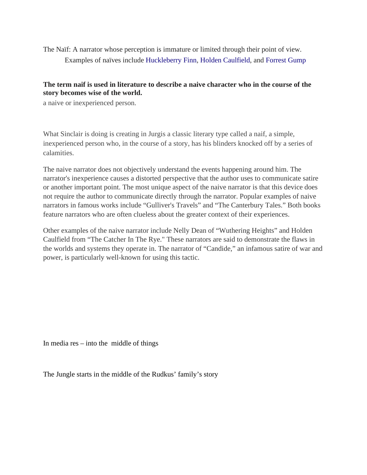The Naïf: A narrator whose perception is immature or limited through their point of view. Examples of naïves include [Huckleberry Finn,](https://en.wikipedia.org/wiki/Huckleberry_Finn) [Holden Caulfield,](https://en.wikipedia.org/wiki/Holden_Caulfield) and [Forrest Gump](https://en.wikipedia.org/wiki/Forrest_Gump) 

## **The term naif is used in literature to describe a naive character who in the course of the story becomes wise of the world.**

a naive or inexperienced person.

What Sinclair is doing is creating in Jurgis a classic literary type called a naif, a simple, inexperienced person who, in the course of a story, has his blinders knocked off by a series of calamities.

The naive narrator does not objectively understand the events happening around him. The narrator's inexperience causes a distorted perspective that the author uses to communicate satire or another important point. The most unique aspect of the naive narrator is that this device does not require the author to communicate directly through the narrator. Popular examples of naive narrators in famous works include "Gulliver's Travels" and "The Canterbury Tales." Both books feature narrators who are often clueless about the greater context of their experiences.

Other examples of the naive narrator include Nelly Dean of "Wuthering Heights" and Holden Caulfield from "The Catcher In The Rye." These narrators are said to demonstrate the flaws in the worlds and systems they operate in. The narrator of "Candide," an infamous satire of war and power, is particularly well-known for using this tactic.

In media  $res - into the middle of things$ 

The Jungle starts in the middle of the Rudkus' family's story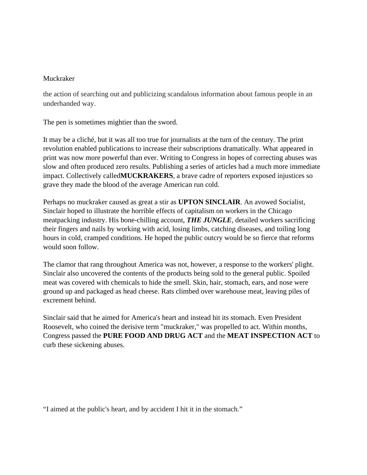## Muckraker

the action of searching out and publicizing scandalous information about famous people in an underhanded way.

The pen is sometimes mightier than the sword.

It may be a cliché, but it was all too true for journalists at the turn of the century. The print revolution enabled publications to increase their subscriptions dramatically. What appeared in print was now more powerful than ever. Writing to Congress in hopes of correcting abuses was slow and often produced zero results. Publishing a series of articles had a much more immediate impact. Collectively called**MUCKRAKERS**, a brave cadre of reporters exposed injustices so grave they made the blood of the average American run cold.

Perhaps no muckraker caused as great a stir as **UPTON SINCLAIR**. An avowed Socialist, Sinclair hoped to illustrate the horrible effects of capitalism on workers in the Chicago meatpacking industry. His bone-chilling account, *THE JUNGLE*, detailed workers sacrificing their fingers and nails by working with acid, losing limbs, catching diseases, and toiling long hours in cold, cramped conditions. He hoped the public outcry would be so fierce that reforms would soon follow.

The clamor that rang throughout America was not, however, a response to the workers' plight. Sinclair also uncovered the contents of the products being sold to the general public. Spoiled meat was covered with chemicals to hide the smell. Skin, hair, stomach, ears, and nose were ground up and packaged as head cheese. Rats climbed over warehouse meat, leaving piles of excrement behind.

Sinclair said that he aimed for America's heart and instead hit its stomach. Even President Roosevelt, who coined the derisive term "muckraker," was propelled to act. Within months, Congress passed the **PURE FOOD AND DRUG ACT** and the **MEAT INSPECTION ACT** to curb these sickening abuses.

"I aimed at the public's heart, and by accident I hit it in the stomach."